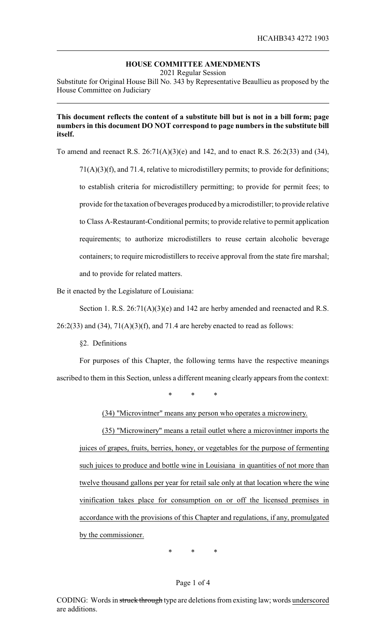# **HOUSE COMMITTEE AMENDMENTS**

2021 Regular Session

Substitute for Original House Bill No. 343 by Representative Beaullieu as proposed by the House Committee on Judiciary

## **This document reflects the content of a substitute bill but is not in a bill form; page numbers in this document DO NOT correspond to page numbers in the substitute bill itself.**

To amend and reenact R.S. 26:71(A)(3)(e) and 142, and to enact R.S. 26:2(33) and (34),

71(A)(3)(f), and 71.4, relative to microdistillery permits; to provide for definitions; to establish criteria for microdistillery permitting; to provide for permit fees; to provide for the taxation of beverages produced by amicrodistiller; to provide relative to Class A-Restaurant-Conditional permits; to provide relative to permit application requirements; to authorize microdistillers to reuse certain alcoholic beverage containers; to require microdistillers to receive approval from the state fire marshal; and to provide for related matters.

Be it enacted by the Legislature of Louisiana:

Section 1. R.S. 26:71(A)(3)(e) and 142 are herby amended and reenacted and R.S.

 $26:2(33)$  and  $(34)$ ,  $71(A)(3)(f)$ , and  $71.4$  are hereby enacted to read as follows:

§2. Definitions

For purposes of this Chapter, the following terms have the respective meanings ascribed to them in this Section, unless a different meaning clearly appears from the context:

\* \* \*

(34) "Microvintner" means any person who operates a microwinery.

(35) "Microwinery" means a retail outlet where a microvintner imports the juices of grapes, fruits, berries, honey, or vegetables for the purpose of fermenting such juices to produce and bottle wine in Louisiana in quantities of not more than twelve thousand gallons per year for retail sale only at that location where the wine vinification takes place for consumption on or off the licensed premises in accordance with the provisions of this Chapter and regulations, if any, promulgated by the commissioner.

\* \* \*

### Page 1 of 4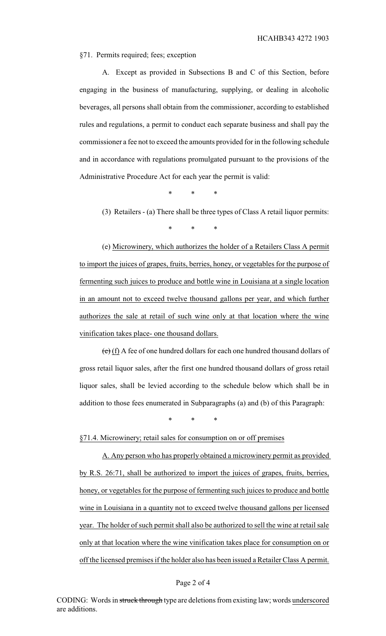#### §71. Permits required; fees; exception

A. Except as provided in Subsections B and C of this Section, before engaging in the business of manufacturing, supplying, or dealing in alcoholic beverages, all persons shall obtain from the commissioner, according to established rules and regulations, a permit to conduct each separate business and shall pay the commissioner a fee not to exceed the amounts provided for in the following schedule and in accordance with regulations promulgated pursuant to the provisions of the Administrative Procedure Act for each year the permit is valid:

\* \* \*

(3) Retailers - (a) There shall be three types of Class A retail liquor permits:

\* \* \*

(e) Microwinery, which authorizes the holder of a Retailers Class A permit to import the juices of grapes, fruits, berries, honey, or vegetables for the purpose of fermenting such juices to produce and bottle wine in Louisiana at a single location in an amount not to exceed twelve thousand gallons per year, and which further authorizes the sale at retail of such wine only at that location where the wine vinification takes place- one thousand dollars.

 $(e)$  (f) A fee of one hundred dollars for each one hundred thousand dollars of gross retail liquor sales, after the first one hundred thousand dollars of gross retail liquor sales, shall be levied according to the schedule below which shall be in addition to those fees enumerated in Subparagraphs (a) and (b) of this Paragraph:

\* \* \*

§71.4. Microwinery; retail sales for consumption on or off premises

A. Any person who has properly obtained a microwinery permit as provided by R.S. 26:71, shall be authorized to import the juices of grapes, fruits, berries, honey, or vegetables for the purpose of fermenting such juices to produce and bottle wine in Louisiana in a quantity not to exceed twelve thousand gallons per licensed year. The holder of such permit shall also be authorized to sell the wine at retail sale only at that location where the wine vinification takes place for consumption on or off the licensed premises if the holder also has been issued a Retailer Class A permit.

#### Page 2 of 4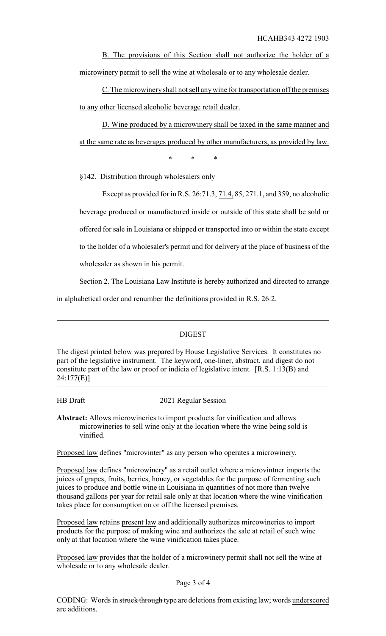B. The provisions of this Section shall not authorize the holder of a microwinery permit to sell the wine at wholesale or to any wholesale dealer.

C. The microwineryshall not sell anywine for transportation off the premises to any other licensed alcoholic beverage retail dealer.

D. Wine produced by a microwinery shall be taxed in the same manner and at the same rate as beverages produced by other manufacturers, as provided by law.

\* \* \*

§142. Distribution through wholesalers only

Except as provided for in R.S. 26:71.3, 71.4, 85, 271.1, and 359, no alcoholic beverage produced or manufactured inside or outside of this state shall be sold or offered for sale in Louisiana or shipped or transported into or within the state except to the holder of a wholesaler's permit and for delivery at the place of business of the

wholesaler as shown in his permit.

Section 2. The Louisiana Law Institute is hereby authorized and directed to arrange

in alphabetical order and renumber the definitions provided in R.S. 26:2.

## DIGEST

The digest printed below was prepared by House Legislative Services. It constitutes no part of the legislative instrument. The keyword, one-liner, abstract, and digest do not constitute part of the law or proof or indicia of legislative intent. [R.S. 1:13(B) and 24:177(E)]

HB Draft 2021 Regular Session

**Abstract:** Allows microwineries to import products for vinification and allows microwineries to sell wine only at the location where the wine being sold is vinified.

Proposed law defines "microvinter" as any person who operates a microwinery.

Proposed law defines "microwinery" as a retail outlet where a microvintner imports the juices of grapes, fruits, berries, honey, or vegetables for the purpose of fermenting such juices to produce and bottle wine in Louisiana in quantities of not more than twelve thousand gallons per year for retail sale only at that location where the wine vinification takes place for consumption on or off the licensed premises.

Proposed law retains present law and additionally authorizes mircowineries to import products for the purpose of making wine and authorizes the sale at retail of such wine only at that location where the wine vinification takes place.

Proposed law provides that the holder of a microwinery permit shall not sell the wine at wholesale or to any wholesale dealer.

Page 3 of 4

CODING: Words in struck through type are deletions from existing law; words underscored are additions.